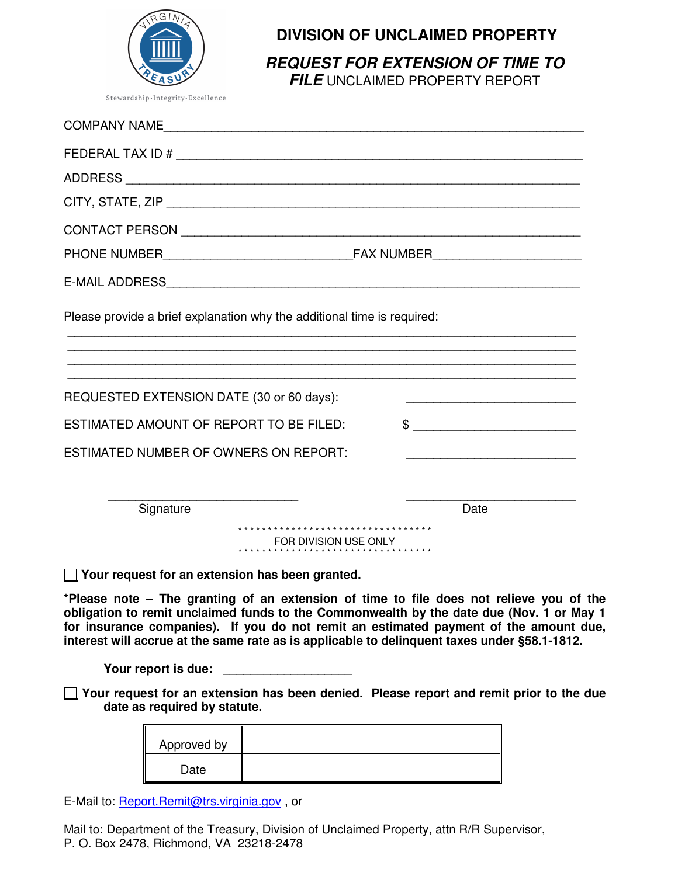

## **DIVISION OF UNCLAIMED PROPERTY**

**REQUEST FOR EXTENSION OF TIME TO** 

**FILE** UNCLAIMED PROPERTY REPORT

| COMPANY NAME                                                                                                                                                                                                                                                                 |  |
|------------------------------------------------------------------------------------------------------------------------------------------------------------------------------------------------------------------------------------------------------------------------------|--|
|                                                                                                                                                                                                                                                                              |  |
|                                                                                                                                                                                                                                                                              |  |
|                                                                                                                                                                                                                                                                              |  |
|                                                                                                                                                                                                                                                                              |  |
|                                                                                                                                                                                                                                                                              |  |
| E-MAIL ADDRESS And a contract of the contract of the contract of the contract of the contract of the contract of the contract of the contract of the contract of the contract of the contract of the contract of the contract                                                |  |
| Please provide a brief explanation why the additional time is required:                                                                                                                                                                                                      |  |
| REQUESTED EXTENSION DATE (30 or 60 days):                                                                                                                                                                                                                                    |  |
| ESTIMATED AMOUNT OF REPORT TO BE FILED:                                                                                                                                                                                                                                      |  |
| ESTIMATED NUMBER OF OWNERS ON REPORT:<br><u> 1989 - Johann John Stone, markin film ar yn y brenin y brenin y brenin y brenin y brenin y brenin y brenin y</u>                                                                                                                |  |
| Signature<br>Date                                                                                                                                                                                                                                                            |  |
| ********************************<br>FOR DIVISION USE ONLY                                                                                                                                                                                                                    |  |
| $\Box$ Your request for an extension has been granted.                                                                                                                                                                                                                       |  |
| *Please note - The granting of an extension of time to file does not relieve you of the<br>obligation to remit unclaimed funds to the Commonwealth by the date due (Nov. 1 or May 1<br>for insurance companies). If you do not remit an estimated payment of the amount due, |  |

**interest will accrue at the same rate as is applicable to delinquent taxes under §58.1-1812.**

Your report is due: \_\_\_\_\_\_\_\_

 **Your request for an extension has been denied. Please report and remit prior to the due date as required by statute.** 

| Approved by |  |
|-------------|--|
| Date        |  |

E-Mail to: Report.Remit@trs.virginia.gov, or

Mail to: Department of the Treasury, Division of Unclaimed Property, attn R/R Supervisor, P. O. Box 2478, Richmond, VA 23218-2478